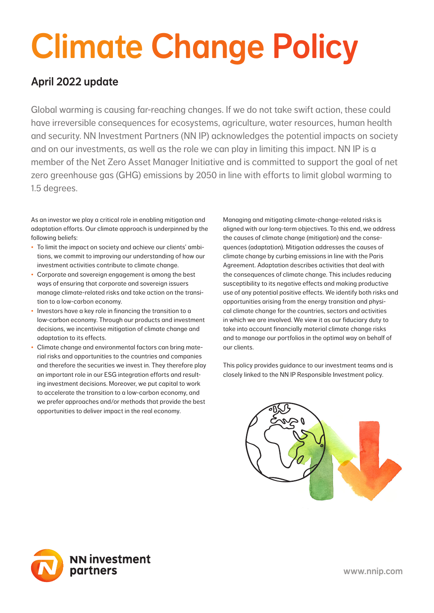# Climate Change Policy

# April 2022 update

Global warming is causing far-reaching changes. If we do not take swift action, these could have irreversible consequences for ecosystems, agriculture, water resources, human health and security. NN Investment Partners (NN IP) acknowledges the potential impacts on society and on our investments, as well as the role we can play in limiting this impact. NN IP is a member of the Net Zero Asset Manager Initiative and is committed to support the goal of net zero greenhouse gas (GHG) emissions by 2050 in line with efforts to limit global warming to 1.5 degrees.

As an investor we play a critical role in enabling mitigation and adaptation efforts. Our climate approach is underpinned by the following beliefs:

- To limit the impact on society and achieve our clients' ambitions, we commit to improving our understanding of how our investment activities contribute to climate change.
- Corporate and sovereign engagement is among the best ways of ensuring that corporate and sovereign issuers manage climate-related risks and take action on the transition to a low-carbon economy.
- Investors have a key role in financing the transition to a low-carbon economy. Through our products and investment decisions, we incentivise mitigation of climate change and adaptation to its effects.
- Climate change and environmental factors can bring material risks and opportunities to the countries and companies and therefore the securities we invest in. They therefore play an important role in our ESG integration efforts and resulting investment decisions. Moreover, we put capital to work to accelerate the transition to a low-carbon economy, and we prefer approaches and/or methods that provide the best opportunities to deliver impact in the real economy.

Managing and mitigating climate-change-related risks is aligned with our long-term objectives. To this end, we address the causes of climate change (mitigation) and the consequences (adaptation). Mitigation addresses the causes of climate change by curbing emissions in line with the Paris Agreement. Adaptation describes activities that deal with the consequences of climate change. This includes reducing susceptibility to its negative effects and making productive use of any potential positive effects. We identify both risks and opportunities arising from the energy transition and physical climate change for the countries, sectors and activities in which we are involved. We view it as our fiduciary duty to take into account financially material climate change risks and to manage our portfolios in the optimal way on behalf of our clients.

This policy provides guidance to our investment teams and is closely linked to the NN IP Responsible Investment policy.



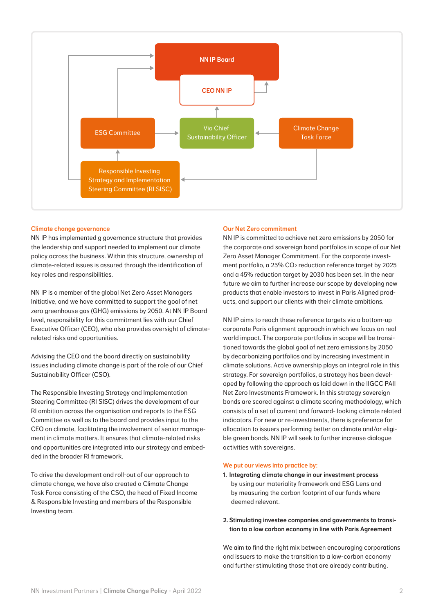

#### Climate change governance

NN IP has implemented g governance structure that provides the leadership and support needed to implement our climate policy across the business. Within this structure, ownership of climate-related issues is assured through the identification of key roles and responsibilities.

NN IP is a member of the global Net Zero Asset Managers Initiative, and we have committed to support the goal of net zero greenhouse gas (GHG) emissions by 2050. At NN IP Board level, responsibility for this commitment lies with our Chief Executive Officer (CEO), who also provides oversight of climaterelated risks and opportunities.

Advising the CEO and the board directly on sustainability issues including climate change is part of the role of our Chief Sustainability Officer (CSO).

The Responsible Investing Strategy and Implementation Steering Committee (RI SISC) drives the development of our RI ambition across the organisation and reports to the ESG Committee as well as to the board and provides input to the CEO on climate, facilitating the involvement of senior management in climate matters. It ensures that climate-related risks and opportunities are integrated into our strategy and embedded in the broader RI framework.

To drive the development and roll-out of our approach to climate change, we have also created a Climate Change Task Force consisting of the CSO, the head of Fixed Income & Responsible Investing and members of the Responsible Investing team.

#### Our Net Zero commitment

NN IP is committed to achieve net zero emissions by 2050 for the corporate and sovereign bond portfolios in scope of our Net Zero Asset Manager Commitment. For the corporate investment portfolio, a 25% CO2 reduction reference target by 2025 and a 45% reduction target by 2030 has been set. In the near future we aim to further increase our scope by developing new products that enable investors to invest in Paris Aligned products, and support our clients with their climate ambitions.

NN IP aims to reach these reference targets via a bottom-up corporate Paris alignment approach in which we focus on real world impact. The corporate portfolios in scope will be transitioned towards the global goal of net zero emissions by 2050 by decarbonizing portfolios and by increasing investment in climate solutions. Active ownership plays an integral role in this strategy. For sovereign portfolios, a strategy has been developed by following the approach as laid down in the IIGCC PAII Net Zero Investments Framework. In this strategy sovereign bonds are scored against a climate scoring methodology, which consists of a set of current and forward- looking climate related indicators. For new or re-investments, there is preference for allocation to issuers performing better on climate and/or eligible green bonds. NN IP will seek to further increase dialogue activities with sovereigns.

#### We put our views into practice by:

- 1. Integrating climate change in our investment process by using our materiality framework and ESG Lens and by measuring the carbon footprint of our funds where deemed relevant.
- 2. Stimulating investee companies and governments to transition to a low carbon economy in line with Paris Agreement

We aim to find the right mix between encouraging corporations and issuers to make the transition to a low-carbon economy and further stimulating those that are already contributing.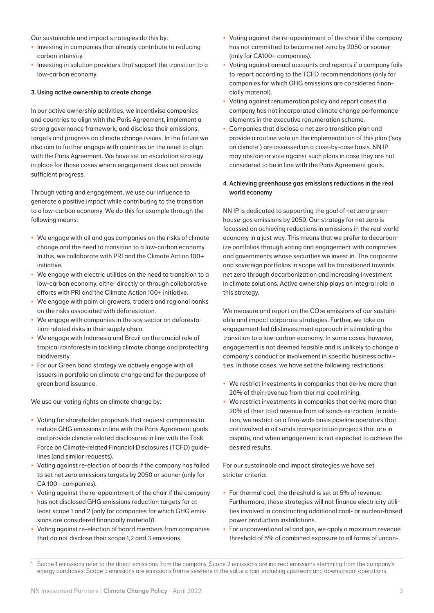Our sustainable and impact strategies do this by:

- Investing in companies that already contribute to reducing carbon intensity.
- Investing in solution providers that support the transition to a low-carbon economy.

### 3.Using active ownership to create change

In our active ownership activities, we incentivise companies and countries to align with the Paris Agreement, implement a strong governance framework, and disclose their emissions, targets and progress on climate change issues. In the future we also aim to further engage with countries on the need to align with the Paris Agreement. We have set an escalation strategy in place for those cases where engagement does not provide sufficient progress.

Through voting and engagement, we use our influence to generate a positive impact while contributing to the transition to a low-carbon economy. We do this for example through the following means:

- We engage with oil and gas companies on the risks of climate change and the need to transition to a low-carbon economy. In this, we collaborate with PRI and the Climate Action 100+ initiative.
- We engage with electric utilities on the need to transition to a low-carbon economy, either directly or through collaborative efforts with PRI and the Climate Action 100+ initiative.
- We engage with palm oil growers, traders and regional banks on the risks associated with deforestation.
- We engage with companies in the soy sector on deforestation-related risks in their supply chain.
- We engage with Indonesia and Brazil on the crucial role of tropical rainforests in tackling climate change and protecting biodiversity.
- For our Green bond strategy we actively engage with all issuers in portfolio on climate change and for the purpose of green bond issuance.

We use our voting rights on climate change by:

- Voting for shareholder proposals that request companies to reduce GHG emissions in line with the Paris Agreement goals and provide climate related disclosures in line with the Task Force on Climate-related Financial Disclosures (TCFD) guidelines (and similar requests).
- Voting against re-election of boards if the company has failed to set net zero emissions targets by 2050 or sooner (only for CA 100+ companies).
- Voting against the re-appointment of the chair if the company has not disclosed GHG emissions reduction targets for at least scope 1 and 2 (only for companies for which GHG emissions are considered financially material)1.
- Voting against re-election of board members from companies that do not disclose their scope 1,2 and 3 emissions.
- Voting against the re-appointment of the chair if the company has not committed to become net zero by 2050 or sooner (only for CA100+ companies).
- Voting against annual accounts and reports if a company fails to report according to the TCFD recommendations (only for companies for which GHG emissions are considered financially material).
- Voting against renumeration policy and report cases if a company has not incorporated climate change performance elements in the executive renumeration scheme.
- Companies that disclose a net zero transition plan and provide a routine vote on the implementation of this plan ('say on climate') are assessed on a case-by-case basis. NN IP may abstain or vote against such plans in case they are not considered to be in line with the Paris Agreement goals.

# 4. Achieving greenhouse gas emissions reductions in the real world economy

NN IP is dedicated to supporting the goal of net zero greenhouse-gas emissions by 2050. Our strategy for net zero is focussed on achieving reductions in emissions in the real world economy in a just way. This means that we prefer to decarbonize portfolios through voting and engagement with companies and governments whose securities we invest in. The corporate and sovereign portfolios in scope will be transitioned towards net zero through decarbonization and increasing investment in climate solutions. Active ownership plays an integral role in this strategy.

We measure and report on the CO<sub>2</sub>e emissions of our sustainable and impact corporate strategies. Further, we take an engagement-led (dis)investment approach in stimulating the transition to a low-carbon economy. In some cases, however, engagement is not deemed feasible and is unlikely to change a company's conduct or involvement in specific business activities. In those cases, we have set the following restrictions:

- We restrict investments in companies that derive more than 20% of their revenue from thermal coal mining.
- We restrict investments in companies that derive more than 20% of their total revenue from oil sands extraction. In addition, we restrict on a firm-wide basis pipeline operators that are involved in oil sands transportation projects that are in dispute, and when engagement is not expected to achieve the desired results.

For our sustainable and impact strategies we have set stricter criteria:

- For thermal coal, the threshold is set at 5% of revenue. Furthermore, these strategies will not finance electricity utilities involved in constructing additional coal- or nuclear-based power production installations.
- For unconventional oil and gas, we apply a maximum revenue threshold of 5% of combined exposure to all forms of uncon-

<sup>1</sup> Scope 1 emissions refer to the direct emissions from the company. Scope 2 emissions are indirect emissions stemming from the company's energy purchases. Scope 3 emissions are emissions from elsewhere in the value chain, including upstream and downstream operations.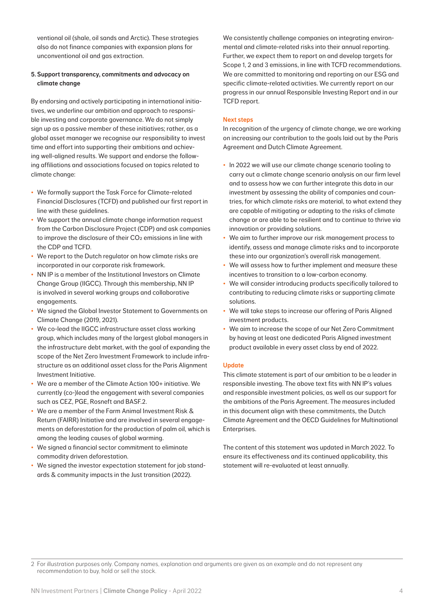ventional oil (shale, oil sands and Arctic). These strategies also do not finance companies with expansion plans for unconventional oil and gas extraction.

# 5. Support transparency, commitments and advocacy on climate change

By endorsing and actively participating in international initiatives, we underline our ambition and approach to responsible investing and corporate governance. We do not simply sign up as a passive member of these initiatives; rather, as a global asset manager we recognise our responsibility to invest time and effort into supporting their ambitions and achieving well-aligned results. We support and endorse the following affiliations and associations focused on topics related to climate change:

- We formally support the Task Force for Climate-related Financial Disclosures (TCFD) and published our first report in line with these guidelines.
- We support the annual climate change information request from the Carbon Disclosure Project (CDP) and ask companies to improve the disclosure of their CO<sub>2</sub> emissions in line with the CDP and TCFD.
- We report to the Dutch regulator on how climate risks are incorporated in our corporate risk framework.
- NN IP is a member of the Institutional Investors on Climate Change Group (IIGCC). Through this membership, NN IP is involved in several working groups and collaborative engagements.
- We signed the Global Investor Statement to Governments on Climate Change (2019, 2021).
- We co-lead the IIGCC infrastructure asset class working group, which includes many of the largest global managers in the infrastructure debt market, with the goal of expanding the scope of the Net Zero Investment Framework to include infrastructure as an additional asset class for the Paris Alignment Investment Initiative.
- We are a member of the Climate Action 100+ initiative. We currently (co-)lead the engagement with several companies such as CEZ, PGE, Rosneft and BASF.2.
- We are a member of the Farm Animal Investment Risk & Return (FAIRR) Initiative and are involved in several engagements on deforestation for the production of palm oil, which is among the leading causes of global warming.
- We signed a financial sector commitment to eliminate commodity driven deforestation.
- We signed the investor expectation statement for job standards & community impacts in the Just transition (2022).

We consistently challenge companies on integrating environmental and climate-related risks into their annual reporting. Further, we expect them to report on and develop targets for Scope 1, 2 and 3 emissions, in line with TCFD recommendations. We are committed to monitoring and reporting on our ESG and specific climate-related activities. We currently report on our progress in our annual Responsible Investing Report and in our TCFD report.

## Next steps

In recognition of the urgency of climate change, we are working on increasing our contribution to the goals laid out by the Paris Agreement and Dutch Climate Agreement.

- In 2022 we will use our climate change scenario tooling to carry out a climate change scenario analysis on our firm level and to assess how we can further integrate this data in our investment by assessing the ability of companies and countries, for which climate risks are material, to what extend they are capable of mitigating or adapting to the risks of climate change or are able to be resilient and to continue to thrive via innovation or providing solutions.
- We aim to further improve our risk management process to identify, assess and manage climate risks and to incorporate these into our organization's overall risk management.
- We will assess how to further implement and measure these incentives to transition to a low-carbon economy.
- We will consider introducing products specifically tailored to contributing to reducing climate risks or supporting climate solutions.
- We will take steps to increase our offering of Paris Aligned investment products.
- We aim to increase the scope of our Net Zero Commitment by having at least one dedicated Paris Aligned investment product available in every asset class by end of 2022.

# Update

This climate statement is part of our ambition to be a leader in responsible investing. The above text fits with NN IP's values and responsible investment policies, as well as our support for the ambitions of the Paris Agreement. The measures included in this document align with these commitments, the Dutch Climate Agreement and the OECD Guidelines for Multinational Enterprises.

The content of this statement was updated in March 2022. To ensure its effectiveness and its continued applicability, this statement will re-evaluated at least annually.

<sup>2</sup> For illustration purposes only. Company names, explanation and arguments are given as an example and do not represent any recommendation to buy, hold or sell the stock.